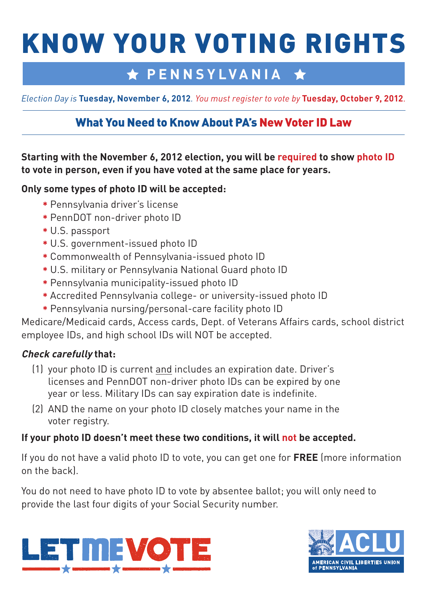# KNOW YOUR VOTING RIGHTS

## **★ PENNSYLVANIA** ★

*Election Day is* **Tuesday, November 6, 2012***. You must register to vote by* **Tuesday, October 9, 2012***.*

### What You Need to Know About PA's New Voter ID Law

**Starting with the November 6, 2012 election, you will be required to show photo ID to vote in person, even if you have voted at the same place for years.** 

#### **Only some types of photo ID will be accepted:**

- **\*** Pennsylvania driver's license
- **\*** PennDOT non-driver photo ID
- **\*** U.S. passport
- **\*** U.S. government-issued photo ID
- **\*** Commonwealth of Pennsylvania-issued photo ID
- **\*** U.S. military or Pennsylvania National Guard photo ID
- **\*** Pennsylvania municipality-issued photo ID
- **\*** Accredited Pennsylvania college- or university-issued photo ID
- **\*** Pennsylvania nursing/personal-care facility photo ID

Medicare/Medicaid cards, Access cards, Dept. of Veterans Affairs cards, school district employee IDs, and high school IDs will NOT be accepted.

#### **Check carefully that:**

- (1) your photo ID is current and includes an expiration date. Driver's licenses and PennDOT non-driver photo IDs can be expired by one year or less. Military IDs can say expiration date is indefinite.
- (2) AND the name on your photo ID closely matches your name in the voter registry.

#### **If your photo ID doesn't meet these two conditions, it will not be accepted.**

If you do not have a valid photo ID to vote, you can get one for **FREE** (more information on the back).

You do not need to have photo ID to vote by absentee ballot; you will only need to provide the last four digits of your Social Security number.